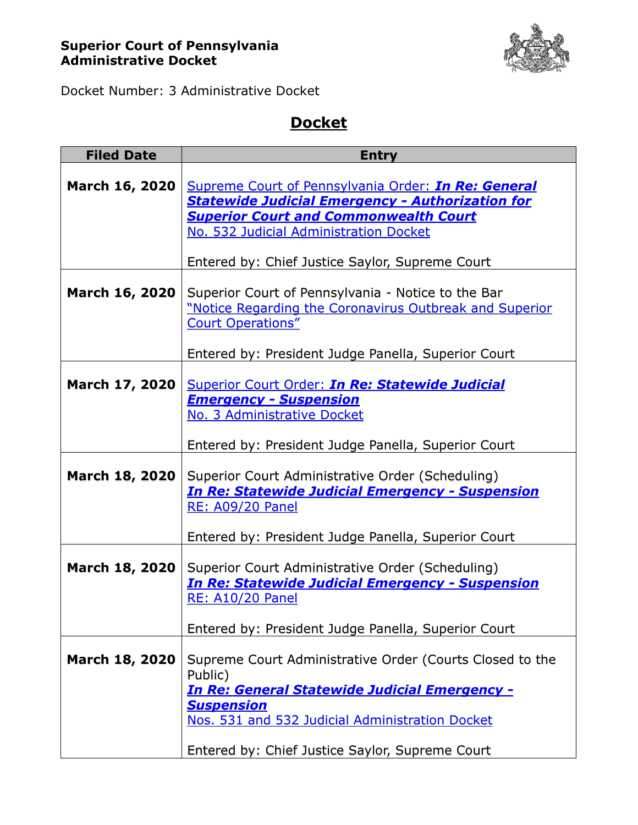## **Superior Court of Pennsylvania Administrative Docket**



Docket Number: 3 Administrative Docket

## **Docket**

| <b>Filed Date</b>     | <b>Entry</b>                                                                                                                                                                                             |
|-----------------------|----------------------------------------------------------------------------------------------------------------------------------------------------------------------------------------------------------|
| <b>March 16, 2020</b> | Supreme Court of Pennsylvania Order: In Re: General<br><b>Statewide Judicial Emergency - Authorization for</b><br><b>Superior Court and Commonwealth Court</b><br>No. 532 Judicial Administration Docket |
|                       | Entered by: Chief Justice Saylor, Supreme Court                                                                                                                                                          |
| <b>March 16, 2020</b> | Superior Court of Pennsylvania - Notice to the Bar<br>"Notice Regarding the Coronavirus Outbreak and Superior<br><b>Court Operations"</b>                                                                |
|                       | Entered by: President Judge Panella, Superior Court                                                                                                                                                      |
| March 17, 2020        | Superior Court Order: In Re: Statewide Judicial<br><b>Emergency - Suspension</b><br>No. 3 Administrative Docket                                                                                          |
|                       | Entered by: President Judge Panella, Superior Court                                                                                                                                                      |
| <b>March 18, 2020</b> | Superior Court Administrative Order (Scheduling)<br><b>In Re: Statewide Judicial Emergency - Suspension</b><br><b>RE: A09/20 Panel</b>                                                                   |
|                       | Entered by: President Judge Panella, Superior Court                                                                                                                                                      |
| March 18, 2020        | Superior Court Administrative Order (Scheduling)<br><b>In Re: Statewide Judicial Emergency - Suspension</b><br><b>RE: A10/20 Panel</b>                                                                   |
|                       | Entered by: President Judge Panella, Superior Court                                                                                                                                                      |
| <b>March 18, 2020</b> | Supreme Court Administrative Order (Courts Closed to the<br>Public)<br><u> In Re: General Statewide Judicial Emergency -</u><br><b>Suspension</b><br>Nos. 531 and 532 Judicial Administration Docket     |
|                       |                                                                                                                                                                                                          |
|                       | Entered by: Chief Justice Saylor, Supreme Court                                                                                                                                                          |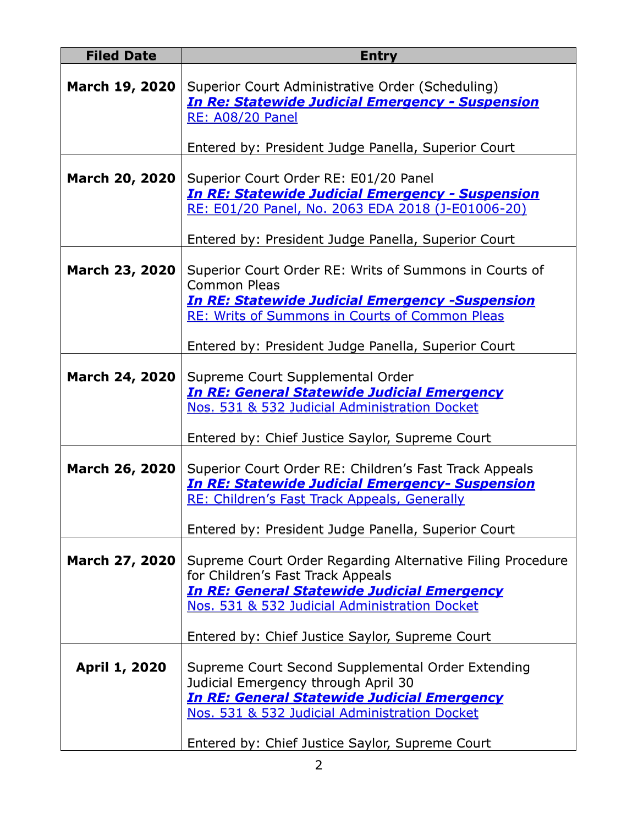| <b>Filed Date</b>     | <b>Entry</b>                                                                                                                                                                                           |
|-----------------------|--------------------------------------------------------------------------------------------------------------------------------------------------------------------------------------------------------|
| <b>March 19, 2020</b> | Superior Court Administrative Order (Scheduling)<br><b>In Re: Statewide Judicial Emergency - Suspension</b><br><b>RE: A08/20 Panel</b>                                                                 |
|                       | Entered by: President Judge Panella, Superior Court                                                                                                                                                    |
| <b>March 20, 2020</b> | Superior Court Order RE: E01/20 Panel<br><u> In RE: Statewide Judicial Emergency - Suspension</u><br>RE: E01/20 Panel, No. 2063 EDA 2018 (J-E01006-20)                                                 |
|                       | Entered by: President Judge Panella, Superior Court                                                                                                                                                    |
| <b>March 23, 2020</b> | Superior Court Order RE: Writs of Summons in Courts of<br><b>Common Pleas</b><br><b>In RE: Statewide Judicial Emergency -Suspension</b>                                                                |
|                       | <b>RE: Writs of Summons in Courts of Common Pleas</b>                                                                                                                                                  |
|                       | Entered by: President Judge Panella, Superior Court                                                                                                                                                    |
| <b>March 24, 2020</b> | Supreme Court Supplemental Order<br><u>In RE: General Statewide Judicial Emergency</u><br>Nos. 531 & 532 Judicial Administration Docket                                                                |
|                       | Entered by: Chief Justice Saylor, Supreme Court                                                                                                                                                        |
| <b>March 26, 2020</b> | Superior Court Order RE: Children's Fast Track Appeals<br><b>In RE: Statewide Judicial Emergency- Suspension</b><br>RE: Children's Fast Track Appeals, Generally                                       |
|                       | Entered by: President Judge Panella, Superior Court                                                                                                                                                    |
| <b>March 27, 2020</b> | Supreme Court Order Regarding Alternative Filing Procedure<br>for Children's Fast Track Appeals<br><b>In RE: General Statewide Judicial Emergency</b><br>Nos. 531 & 532 Judicial Administration Docket |
|                       | Entered by: Chief Justice Saylor, Supreme Court                                                                                                                                                        |
| <b>April 1, 2020</b>  | Supreme Court Second Supplemental Order Extending<br>Judicial Emergency through April 30<br><b>In RE: General Statewide Judicial Emergency</b><br>Nos. 531 & 532 Judicial Administration Docket        |
|                       | Entered by: Chief Justice Saylor, Supreme Court                                                                                                                                                        |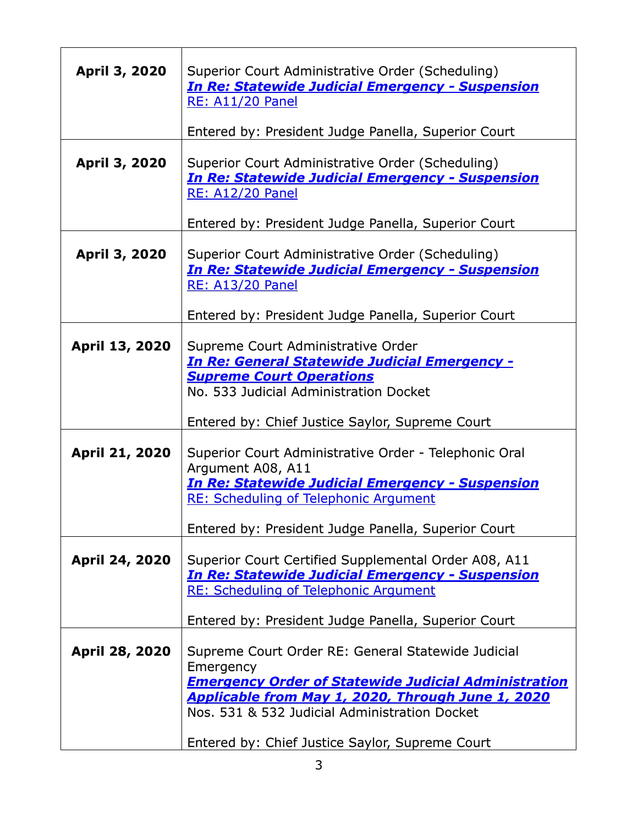| <b>April 3, 2020</b>  | Superior Court Administrative Order (Scheduling)<br><b>In Re: Statewide Judicial Emergency - Suspension</b>                                                     |
|-----------------------|-----------------------------------------------------------------------------------------------------------------------------------------------------------------|
|                       | <b>RE: A11/20 Panel</b>                                                                                                                                         |
|                       | Entered by: President Judge Panella, Superior Court                                                                                                             |
| April 3, 2020         | Superior Court Administrative Order (Scheduling)<br><b>In Re: Statewide Judicial Emergency - Suspension</b><br><b>RE: A12/20 Panel</b>                          |
|                       | Entered by: President Judge Panella, Superior Court                                                                                                             |
| April 3, 2020         | Superior Court Administrative Order (Scheduling)<br><b>In Re: Statewide Judicial Emergency - Suspension</b><br><b>RE: A13/20 Panel</b>                          |
|                       | Entered by: President Judge Panella, Superior Court                                                                                                             |
| <b>April 13, 2020</b> | Supreme Court Administrative Order                                                                                                                              |
|                       | <u> In Re: General Statewide Judicial Emergency -</u><br><b>Supreme Court Operations</b>                                                                        |
|                       | No. 533 Judicial Administration Docket                                                                                                                          |
|                       |                                                                                                                                                                 |
|                       | Entered by: Chief Justice Saylor, Supreme Court                                                                                                                 |
| April 21, 2020        | Superior Court Administrative Order - Telephonic Oral<br>Argument A08, A11                                                                                      |
|                       | <b>In Re: Statewide Judicial Emergency - Suspension</b>                                                                                                         |
|                       | <b>RE: Scheduling of Telephonic Argument</b>                                                                                                                    |
|                       | Entered by: President Judge Panella, Superior Court                                                                                                             |
| <b>April 24, 2020</b> | Superior Court Certified Supplemental Order A08, A11<br><b>In Re: Statewide Judicial Emergency - Suspension</b><br><b>RE: Scheduling of Telephonic Argument</b> |
|                       | Entered by: President Judge Panella, Superior Court                                                                                                             |
|                       |                                                                                                                                                                 |
| April 28, 2020        | Supreme Court Order RE: General Statewide Judicial                                                                                                              |
|                       | Emergency<br><b>Emergency Order of Statewide Judicial Administration</b>                                                                                        |
|                       | Applicable from May 1, 2020, Through June 1, 2020                                                                                                               |
|                       | Nos. 531 & 532 Judicial Administration Docket                                                                                                                   |
|                       | Entered by: Chief Justice Saylor, Supreme Court                                                                                                                 |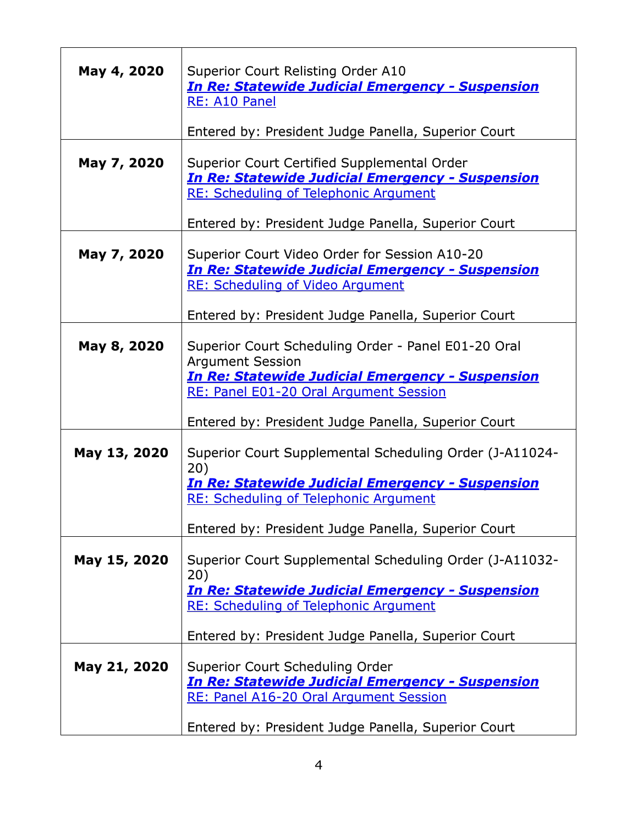| May 4, 2020  | Superior Court Relisting Order A10<br><b>In Re: Statewide Judicial Emergency - Suspension</b><br>RE: A10 Panel                                                                              |
|--------------|---------------------------------------------------------------------------------------------------------------------------------------------------------------------------------------------|
|              | Entered by: President Judge Panella, Superior Court                                                                                                                                         |
| May 7, 2020  | Superior Court Certified Supplemental Order<br><b>In Re: Statewide Judicial Emergency - Suspension</b><br><b>RE: Scheduling of Telephonic Argument</b>                                      |
|              | Entered by: President Judge Panella, Superior Court                                                                                                                                         |
| May 7, 2020  | Superior Court Video Order for Session A10-20<br><b>In Re: Statewide Judicial Emergency - Suspension</b><br><b>RE: Scheduling of Video Argument</b>                                         |
|              | Entered by: President Judge Panella, Superior Court                                                                                                                                         |
| May 8, 2020  | Superior Court Scheduling Order - Panel E01-20 Oral<br><b>Argument Session</b><br><b>In Re: Statewide Judicial Emergency - Suspension</b><br>RE: Panel E01-20 Oral Argument Session         |
|              | Entered by: President Judge Panella, Superior Court                                                                                                                                         |
| May 13, 2020 | Superior Court Supplemental Scheduling Order (J-A11024-<br>20)<br><b>In Re: Statewide Judicial Emergency - Suspension</b><br><b>RE: Scheduling of Telephonic Argument</b>                   |
|              | Entered by: President Judge Panella, Superior Court                                                                                                                                         |
| May 15, 2020 | Superior Court Supplemental Scheduling Order (J-A11032-<br>20)<br><b>In Re: Statewide Judicial Emergency - Suspension</b><br><b>RE: Scheduling of Telephonic Argument</b>                   |
|              | Entered by: President Judge Panella, Superior Court                                                                                                                                         |
| May 21, 2020 | Superior Court Scheduling Order<br><b>In Re: Statewide Judicial Emergency - Suspension</b><br>RE: Panel A16-20 Oral Argument Session<br>Entered by: President Judge Panella, Superior Court |